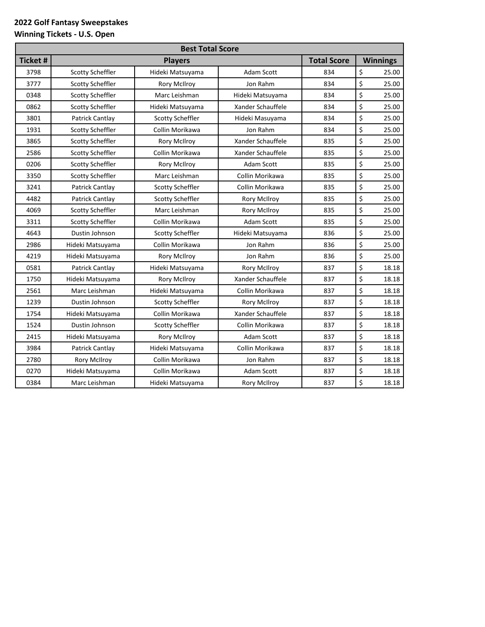## **2022 Golf Fantasy Sweepstakes**

## **Winning Tickets - U.S. Open**

| <b>Best Total Score</b> |                         |                         |                     |                    |                 |
|-------------------------|-------------------------|-------------------------|---------------------|--------------------|-----------------|
| <b>Ticket#</b>          |                         | <b>Players</b>          |                     | <b>Total Score</b> | <b>Winnings</b> |
| 3798                    | Scotty Scheffler        | Hideki Matsuyama        | Adam Scott          | 834                | \$<br>25.00     |
| 3777                    | Scotty Scheffler        | <b>Rory McIlroy</b>     | Jon Rahm            | 834                | \$<br>25.00     |
| 0348                    | Scotty Scheffler        | Marc Leishman           | Hideki Matsuyama    | 834                | \$<br>25.00     |
| 0862                    | <b>Scotty Scheffler</b> | Hideki Matsuyama        | Xander Schauffele   | 834                | \$<br>25.00     |
| 3801                    | Patrick Cantlay         | <b>Scotty Scheffler</b> | Hideki Masuyama     | 834                | \$<br>25.00     |
| 1931                    | Scotty Scheffler        | Collin Morikawa         | Jon Rahm            | 834                | \$<br>25.00     |
| 3865                    | <b>Scotty Scheffler</b> | <b>Rory McIlroy</b>     | Xander Schauffele   | 835                | \$<br>25.00     |
| 2586                    | Scotty Scheffler        | Collin Morikawa         | Xander Schauffele   | 835                | \$<br>25.00     |
| 0206                    | Scotty Scheffler        | <b>Rory McIlroy</b>     | Adam Scott          | 835                | \$<br>25.00     |
| 3350                    | <b>Scotty Scheffler</b> | Marc Leishman           | Collin Morikawa     | 835                | \$<br>25.00     |
| 3241                    | Patrick Cantlay         | Scotty Scheffler        | Collin Morikawa     | 835                | \$<br>25.00     |
| 4482                    | Patrick Cantlay         | Scotty Scheffler        | <b>Rory McIlroy</b> | 835                | \$<br>25.00     |
| 4069                    | Scotty Scheffler        | Marc Leishman           | <b>Rory McIlroy</b> | 835                | \$<br>25.00     |
| 3311                    | Scotty Scheffler        | Collin Morikawa         | Adam Scott          | 835                | \$<br>25.00     |
| 4643                    | Dustin Johnson          | Scotty Scheffler        | Hideki Matsuyama    | 836                | \$<br>25.00     |
| 2986                    | Hideki Matsuyama        | Collin Morikawa         | Jon Rahm            | 836                | \$<br>25.00     |
| 4219                    | Hideki Matsuyama        | Rory McIlroy            | Jon Rahm            | 836                | \$<br>25.00     |
| 0581                    | Patrick Cantlay         | Hideki Matsuyama        | <b>Rory McIlroy</b> | 837                | \$<br>18.18     |
| 1750                    | Hideki Matsuyama        | <b>Rory McIlroy</b>     | Xander Schauffele   | 837                | \$<br>18.18     |
| 2561                    | Marc Leishman           | Hideki Matsuyama        | Collin Morikawa     | 837                | \$<br>18.18     |
| 1239                    | Dustin Johnson          | Scotty Scheffler        | <b>Rory McIlroy</b> | 837                | \$<br>18.18     |
| 1754                    | Hideki Matsuyama        | Collin Morikawa         | Xander Schauffele   | 837                | \$<br>18.18     |
| 1524                    | Dustin Johnson          | Scotty Scheffler        | Collin Morikawa     | 837                | \$<br>18.18     |
| 2415                    | Hideki Matsuyama        | <b>Rory McIlroy</b>     | Adam Scott          | 837                | \$<br>18.18     |
| 3984                    | Patrick Cantlay         | Hideki Matsuyama        | Collin Morikawa     | 837                | \$<br>18.18     |
| 2780                    | <b>Rory McIlroy</b>     | Collin Morikawa         | Jon Rahm            | 837                | \$<br>18.18     |
| 0270                    | Hideki Matsuyama        | Collin Morikawa         | Adam Scott          | 837                | \$<br>18.18     |
| 0384                    | Marc Leishman           | Hideki Matsuyama        | <b>Rory McIlroy</b> | 837                | \$<br>18.18     |